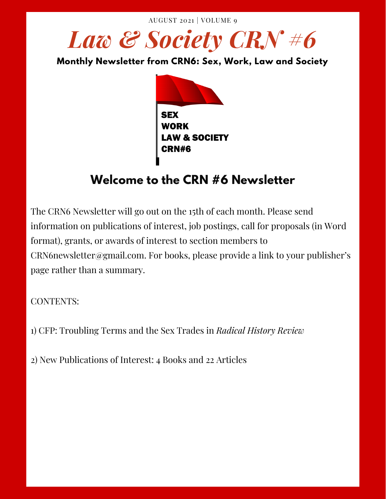AUGUST 2021 | VOLUME 9

**Monthly Newsletter from CRN6: Sex, Work, Law and Society**



## **Welcome to the CRN #6 Newsletter**

The CRN6 Newsletter will go out on the 15th of each month. Please send information on publications of interest, job postings, call for proposals (in Word format), grants, or awards of interest to section members to CRN6newsletter@gmail.com. For books, please provide a link to your publisher's page rather than a summary.

CONTENTS:

1) CFP: Troubling Terms and the Sex Trades in *Radical History Review*

2) New Publications of Interest: 4 Books and 22 Articles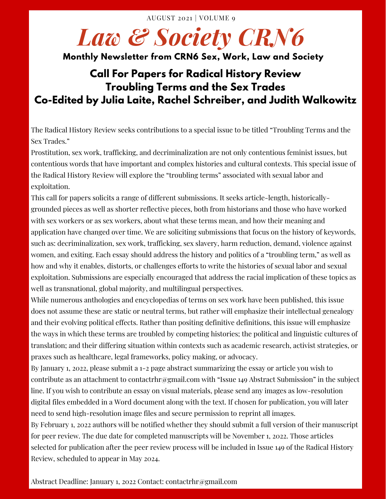#### **Monthly Newsletter from CRN6 Sex, Work, Law and Society**

### **Call For Papers for Radical History Review Troubling Terms and the Sex Trades Co-Edited by Julia Laite, Rachel Schreiber, and Judith Walkowitz**

The Radical History Review seeks contributions to a special issue to be titled "Troubling Terms and the Sex Trades."

Prostitution, sex work, trafficking, and decriminalization are not only contentious feminist issues, but contentious words that have important and complex histories and cultural contexts. This special issue of the Radical History Review will explore the "troubling terms" associated with sexual labor and exploitation.

This call for papers solicits a range of different submissions. It seeks article-length, historicallygrounded pieces as well as shorter reflective pieces, both from historians and those who have worked with sex workers or as sex workers, about what these terms mean, and how their meaning and application have changed over time. We are soliciting submissions that focus on the history of keywords, such as: decriminalization, sex work, trafficking, sex slavery, harm reduction, demand, violence against women, and exiting. Each essay should address the history and politics of a "troubling term," as well as how and why it enables, distorts, or challenges efforts to write the histories of sexual labor and sexual exploitation. Submissions are especially encouraged that address the racial implication of these topics as well as transnational, global majority, and multilingual perspectives.

While numerous anthologies and encyclopedias of terms on sex work have been published, this issue does not assume these are static or neutral terms, but rather will emphasize their intellectual genealogy and their evolving political effects. Rather than positing definitive definitions, this issue will emphasize the ways in which these terms are troubled by competing histories; the political and linguistic cultures of translation; and their differing situation within contexts such as academic research, activist strategies, or praxes such as healthcare, legal frameworks, policy making, or advocacy.

By January 1, 2022, please submit a 1-2 page abstract summarizing the essay or article you wish to contribute as an attachment to contactrhr@gmail.com with "Issue 149 Abstract Submission" in the subject line. If you wish to contribute an essay on visual materials, please send any images as low-resolution digital files embedded in a Word document along with the text. If chosen for publication, you will later need to send high-resolution image files and secure permission to reprint all images.

By February 1, 2022 authors will be notified whether they should submit a full version of their manuscript for peer review. The due date for completed manuscripts will be November 1, 2022. Those articles selected for publication after the peer review process will be included in Issue 149 of the Radical History Review, scheduled to appear in May 2024.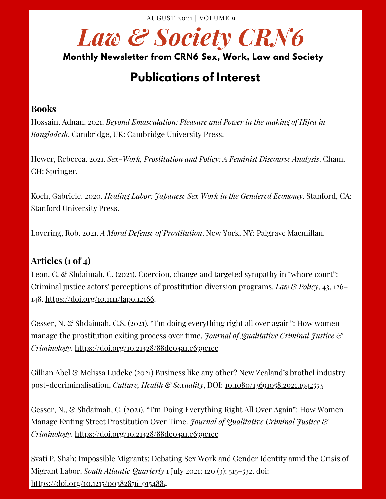#### **Monthly Newsletter from CRN6 Sex, Work, Law and Society**

## **Publications of Interest**

#### **Books**

Hossain, Adnan. 2021. *Beyond Emasculation: Pleasure and Power in the making of Hijra in Bangladesh*. Cambridge, UK: Cambridge University Press.

Hewer, Rebecca. 2021. *Sex-Work, Prostitution and Policy: A Feminist Discourse Analysis*. Cham, CH: Springer.

Koch, Gabriele. 2020. *Healing Labor: 'Hapanese Sex Work in the Gendered Economy. Stanford, CA:* Stanford University Press.

Lovering, Rob. 2021. *A Moral Defense of Prostitution*. New York, NY: Palgrave Macmillan.

#### **Articles (1 of 4)**

Leon, C. & Shdaimah, C. (2021). Coercion, change and targeted sympathy in "whore court": Criminal justice actors' perceptions of prostitution diversion programs. *Law & Policy*, 43, 126– 148. <https://doi.org/10.1111/lapo.12166>.

Gesser, N. & Shdaimah, C.S. (2021). "I'm doing everything right all over again": How women manage the prostitution exiting process over time. *Journal of Qualitative Criminal Justice & Criminology*. <https://doi.org/10.21428/88de04a1.e639c1ce>

Gillian Abel & Melissa Ludeke (2021) Business like any other? New Zealand's brothel industry post-decriminalisation, *Culture, Health & Sexuality*, DOI: [10.1080/13691058.2021.1942553](https://doi.org/10.1080/13691058.2021.1942553)

Gesser, N., & Shdaimah, C. (2021). "I'm Doing Everything Right All Over Again": How Women Manage Exiting Street Prostitution Over Time. *Journal of Qualitative Criminal Justice & Criminology*. <https://doi.org/10.21428/88de04a1.e639c1ce>

Svati P. Shah; Impossible Migrants: Debating Sex Work and Gender Identity amid the Crisis of Migrant Labor. *South Atlantic Quarterly* 1 July 2021; 120 (3): 515–532. doi: <https://doi.org/10.1215/00382876-9154884>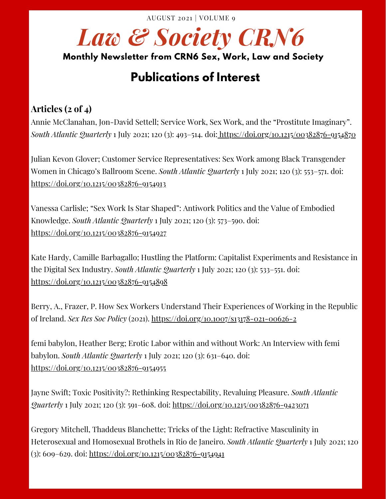#### **Monthly Newsletter from CRN6 Sex, Work, Law and Society**

## **Publications of Interest**

#### **Articles (2 of 4)**

Annie McClanahan, Jon-David Settell; Service Work, Sex Work, and the "Prostitute Imaginary". *South Atlantic Quarterly* 1 July 2021; 120 (3): 493–514. doi: <https://doi.org/10.1215/00382876-9154870>

Julian Kevon Glover; Customer Service Representatives: Sex Work among Black Transgender Women in Chicago's Ballroom Scene. *South Atlantic Quarterly* 1 July 2021; 120 (3): 553–571. doi: <https://doi.org/10.1215/00382876-9154913>

Vanessa Carlisle; "Sex Work Is Star Shaped": Antiwork Politics and the Value of Embodied Knowledge. *South Atlantic Quarterly* 1 July 2021; 120 (3): 573–590. doi: <https://doi.org/10.1215/00382876-9154927>

Kate Hardy, Camille Barbagallo; Hustling the Platform: Capitalist Experiments and Resistance in the Digital Sex Industry. *South Atlantic Quarterly* 1 July 2021; 120 (3): 533–551. doi: <https://doi.org/10.1215/00382876-9154898>

Berry, A., Frazer, P. How Sex Workers Understand Their Experiences of Working in the Republic of Ireland. *Sex Res Soc Policy* (2021). <https://doi.org/10.1007/s13178-021-00626-2>

femi babylon, Heather Berg; Erotic Labor within and without Work: An Interview with femi babylon. *South Atlantic Quarterly* 1 July 2021; 120 (3): 631–640. doi: <https://doi.org/10.1215/00382876-9154955>

Jayne Swift; Toxic Positivity?: Rethinking Respectability, Revaluing Pleasure. *South Atlantic Quarterly* 1 July 2021; 120 (3): 591–608. doi: <https://doi.org/10.1215/00382876-9423071>

Gregory Mitchell, Thaddeus Blanchette; Tricks of the Light: Refractive Masculinity in Heterosexual and Homosexual Brothels in Rio de Janeiro. *South Atlantic Quarterly* 1 July 2021; 120 (3): 609–629. doi: <https://doi.org/10.1215/00382876-9154941>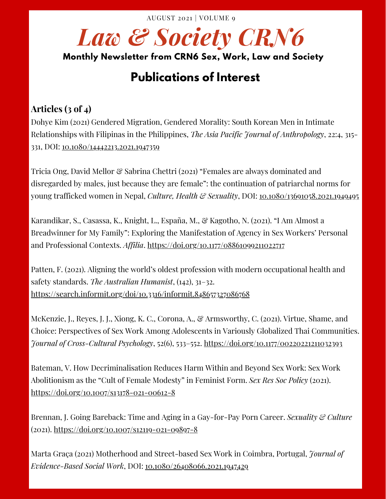#### **Monthly Newsletter from CRN6 Sex, Work, Law and Society**

## **Publications of Interest**

#### **Articles (3 of 4)**

Dohye Kim (2021) Gendered Migration, Gendered Morality: South Korean Men in Intimate Relationships with Filipinas in the Philippines, *The Asia Pacific Journal of Anthropology*, 22:4, 315- 331, DOI: [10.1080/14442213.2021.1947359](https://doi.org/10.1080/14442213.2021.1947359)

Tricia Ong, David Mellor & Sabrina Chettri (2021) "Females are always dominated and disregarded by males, just because they are female": the continuation of patriarchal norms for young trafficked women in Nepal, *Culture, Health & Sexuality*, DOI: [10.1080/13691058.2021.1949495](https://doi.org/10.1080/13691058.2021.1949495https:/doi.org/10.1080/13691058.2021.1949495)

Karandikar, S., Casassa, K., Knight, L., España, M., & Kagotho, N. (2021). "I Am Almost a Breadwinner for My Family": Exploring the Manifestation of Agency in Sex Workers' Personal and Professional Contexts. *Affilia*. <https://doi.org/10.1177/08861099211022717>

Patten, F. (2021). Aligning the world's oldest profession with modern occupational health and safety standards. *The Australian Humanist*, (142), 31–32. <https://search.informit.org/doi/10.3316/informit.848657327086768>

McKenzie, J., Reyes, J. J., Xiong, K. C., Corona, A., & Armsworthy, C. (2021). Virtue, Shame, and Choice: Perspectives of Sex Work Among Adolescents in Variously Globalized Thai Communities. *Journal of Cross-Cultural Psychology*, 52(6), 533–552. <https://doi.org/10.1177/00220221211032393>

Bateman, V. How Decriminalisation Reduces Harm Within and Beyond Sex Work: Sex Work Abolitionism as the "Cult of Female Modesty" in Feminist Form. *Sex Res Soc Policy* (2021). <https://doi.org/10.1007/s13178-021-00612-8>

Brennan, J. Going Bareback: Time and Aging in a Gay-for-Pay Porn Career. *Sexuality & Culture* (2021). <https://doi.org/10.1007/s12119-021-09897-8>

Marta Graça (2021) Motherhood and Street-based Sex Work in Coimbra, Portugal, *Journal of Evidence-Based Social Work*, DOI: [10.1080/26408066.2021.1947429](https://doi.org/10.1080/26408066.2021.1947429https:/www.tandfonline.com/doi/full/10.1080/26408066.2021.1947429?scroll=top&needAccess=true)